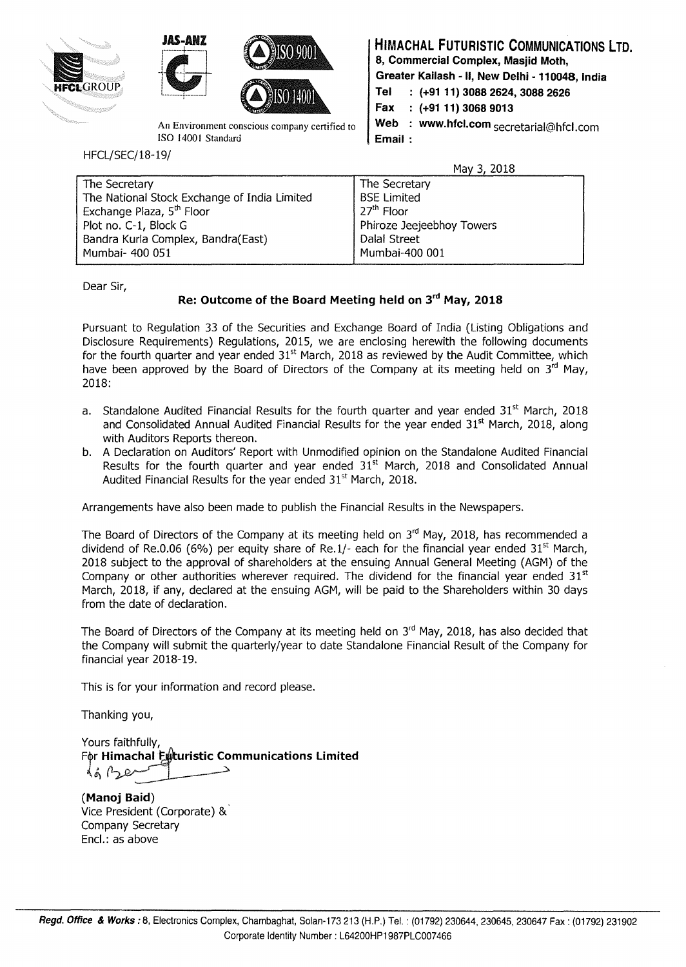





ISO 1400 I Standard **Email** :

HFCL/SEC/18-19/

**HIMACHAL FUTURISTIC COMMUNICATIONS LTD. 8, Commercial Complex, Masjid Moth, Greater Kailash - II, New Delhi - 11 0048, India Tel (+9111) 3088 2624, 3088 2626 Fax (+9111) 3068 9013**  An Environment conscious company certified to  $\parallel$  Web : www.hfcl.com secretarial@hfcl.com

May 3, 2018

| The Secretary                                | The Secretary             |
|----------------------------------------------|---------------------------|
| The National Stock Exchange of India Limited | <b>BSE Limited</b>        |
| Exchange Plaza, 5 <sup>th</sup> Floor        | 27 <sup>th</sup> Floor    |
| Plot no. C-1, Block G                        | Phiroze Jeejeebhoy Towers |
| Bandra Kurla Complex, Bandra(East)           | Dalal Street              |
| Mumbai- 400 051                              | Mumbai-400 001            |

Dear Sir,

# **Re: Outcome of the Board Meeting held on 3rd May, 2018**

Pursuant to Regulation 33 of the Securities and Exchange Board of India (Listing Obligations and Disclosure Requirements) Regulations, 2015, we are enclosing herewith the following documents for the fourth quarter and year ended  $31<sup>st</sup>$  March, 2018 as reviewed by the Audit Committee, which have been approved by the Board of Directors of the Company at its meeting held on  $3<sup>rd</sup>$  May, 2018:

- a. Standalone Audited Financial Results for the fourth quarter and year ended  $31<sup>st</sup>$  March, 2018 and Consolidated Annual Audited Financial Results for the year ended  $31<sup>st</sup>$  March, 2018, along with Auditors Reports thereon.
- b. A Declaration on Auditors' Report with Unmodified opinion on the Standalone Audited Financial Results for the fourth quarter and year ended  $31<sup>st</sup>$  March, 2018 and Consolidated Annual Audited Financial Results for the year ended 31<sup>st</sup> March, 2018.

Arrangements have also been made to publish the Financial Results in the Newspapers.

The Board of Directors of the Company at its meeting held on  $3<sup>rd</sup>$  May, 2018, has recommended a dividend of Re.0.06 (6%) per equity share of Re.1/- each for the financial year ended  $31<sup>st</sup>$  March, 2018 subject to the approval of shareholders at the ensuing Annual General Meeting (AGM) of the Company or other authorities wherever required. The dividend for the financial year ended  $31<sup>st</sup>$ March, 2018, if any, declared at the ensuing AGM, will be paid to the Shareholders within 30 days from the date of declaration.

The Board of Directors of the Company at its meeting held on  $3<sup>rd</sup>$  May, 2018, has also decided that the Company will submit the quarterly/year to date Standalone Financial Result of the Company for financial year 2018-19.

This is for your information and record please.

Thanking you,

Yours faithfully, For Himachal Euturistic Communications Limited

**(Manoj Baid)**  Vice President (Corporate) & Company Secretary Encl.: as above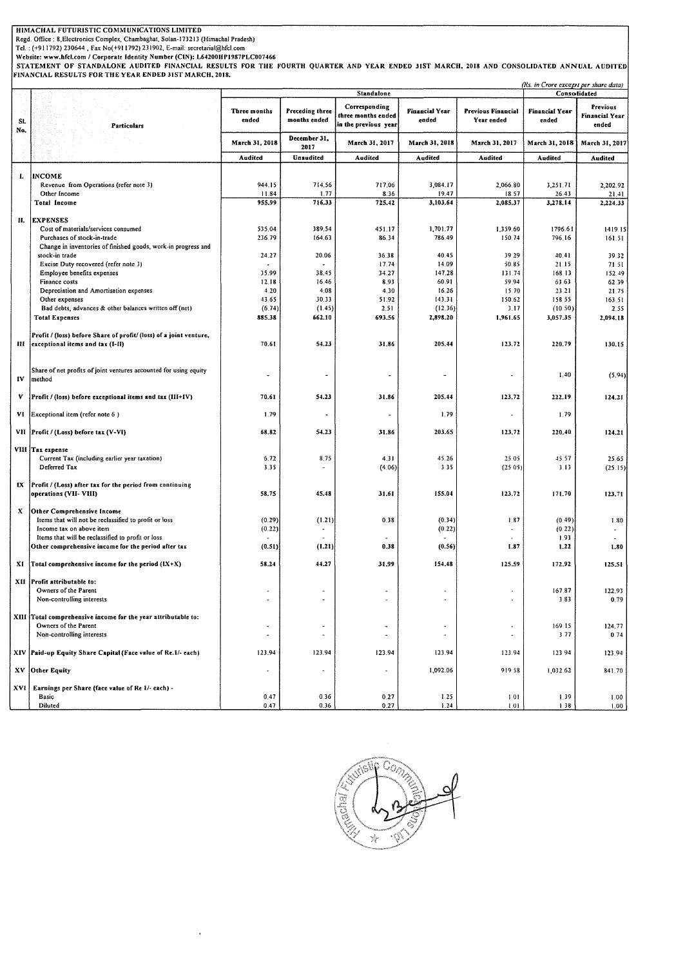#### **HIMACHAL FUTURISTIC COMMUNICATIONS LIMITED**

Regd. Office : 8,Electronics Complex, Chambaghat, Solan-173213 (Himachal Pradesh)<br>Tel. : (+911792) 230644 , Fax No(+911792) 231902, E-mail: secrearial@hfcl.com<br>Website: www.hfcl.com / Corporate Identity Number (CIN): L6420 *(Rs. in Crore except per share dala)* 

|     |                                                                                                        |                          |                                 |                                                                                  |                                | the merger except per share again<br>Consolidated |                                |                                            |
|-----|--------------------------------------------------------------------------------------------------------|--------------------------|---------------------------------|----------------------------------------------------------------------------------|--------------------------------|---------------------------------------------------|--------------------------------|--------------------------------------------|
| SI. | Particulars                                                                                            | Three months<br>ended    | Preceding three<br>months ended | <b>Standalone</b><br>Corresponding<br>three months ended<br>in the previous year | <b>Financial Year</b><br>ended | Previous Financial<br>Year ended                  | <b>Financial Year</b><br>ended | Previous<br><b>Financial Year</b><br>ended |
| No. |                                                                                                        | March 31, 2018           | December 31,<br>2017            | March 31, 2017                                                                   | March 31, 2018                 | March 31, 2017                                    | March 31, 2018                 | March 31, 2017                             |
|     |                                                                                                        | Audited                  | Unaudited                       | Audited                                                                          | Audited                        | Audited                                           | Audited                        | Audited                                    |
|     |                                                                                                        |                          |                                 |                                                                                  |                                |                                                   |                                |                                            |
| Ι.  | <b>INCOME</b>                                                                                          |                          |                                 |                                                                                  |                                |                                                   |                                |                                            |
|     | Revenue from Operations (refer note 3)                                                                 | 944.15                   | 714.56                          | 717.06                                                                           | 3,084.17                       | 2,066.80                                          | 3,251.71                       | 2,202.92                                   |
|     | Other Income                                                                                           | 11.84                    | 1.77                            | 8.36                                                                             | 19.47                          | 18.57                                             | 26.43                          | 21.41                                      |
|     | <b>Total Income</b>                                                                                    | 955.99                   | 716.33                          | 725.42                                                                           | 3,103.64                       | 2,085.37                                          | 3,278.14                       | 2,224.33                                   |
|     |                                                                                                        |                          |                                 |                                                                                  |                                |                                                   |                                |                                            |
| п.  | <b>EXPENSES</b>                                                                                        |                          |                                 |                                                                                  |                                |                                                   | 1796.61                        |                                            |
|     | Cost of materials/services consumed<br>Purchases of stock-in-trade                                     | 535.04<br>236.79         | 389.54                          | 451.17                                                                           | 1,701.77<br>786.49             | 1,359.60<br>150.74                                |                                | 1419.15                                    |
|     | Change in inventories of finished goods, work-in progress and                                          |                          | 164.63                          | 86.34                                                                            |                                |                                                   | 796.16                         | 161.51                                     |
|     | stock-in trade                                                                                         | 24.27                    | 20.06                           | 36.38                                                                            | 40.45                          | 39 29                                             | 40.41                          | 39.32                                      |
|     | Excise Duty recovered (refer note 3)                                                                   |                          |                                 | 17.74                                                                            | 14.09                          | 50.85                                             | 21.15                          | 71.51                                      |
|     | Employee benefits expenses                                                                             | 35.99                    | 38.45                           | 34.27                                                                            | 147.28                         | 131.74                                            | 168.13                         | 152.49                                     |
|     | Finance costs                                                                                          | 12.18                    | 16.46                           | 8.93                                                                             | 60.91                          | 59.94                                             | 63.63                          | 62.39                                      |
|     | Depreciation and Amortisation expenses                                                                 | 4.20                     | 4.08                            | 4.30                                                                             | 16.26                          | 15.70                                             | 23.21                          | 21.75                                      |
|     | Other expenses                                                                                         | 43.65                    | 30.33                           | 51.92                                                                            | 143.31                         | 150.62                                            | 158.55                         | 163.51                                     |
|     | Bad debts, advances & other balances written off (net)                                                 | (6.74)                   | (1.45)                          | 2.51                                                                             | (12.36)                        | 3.17                                              | (10.50)                        | 2.55                                       |
|     | <b>Total Expenses</b>                                                                                  | 885.38                   | 662.10                          | 693.56                                                                           | 2,898.20                       | 1,961.65                                          | 3,057.35                       | 2,094.18                                   |
| ш   | Profit / (loss) before Share of profit/ (loss) of a joint venture,<br>exceptional items and tax (I-II) | 70.61                    | 54.23                           | 31.86                                                                            | 205.44                         | 123.72                                            | 220.79                         | 130.15                                     |
| IV  | Share of net profits of joint ventures accounted for using equity<br>method                            |                          |                                 |                                                                                  |                                |                                                   | 1.40                           | (5.94)                                     |
| ٧   | Profit / (loss) before exceptional items and tax (III+IV)                                              | 70,61                    | 54.23                           | 31.86                                                                            | 205.44                         | 123.72                                            | 222.19                         | 124.21                                     |
| VI  | Exceptional item (refer note 6)                                                                        | 1.79                     |                                 |                                                                                  | 1.79                           |                                                   | 1.79                           |                                            |
| VII | Profit / (Loss) before tax (V-VI)                                                                      | 68.82                    | 54.23                           | 31.86                                                                            | 203.65                         | 123,72                                            | 220.40                         | 124.21                                     |
|     | VIII  Tax expense                                                                                      |                          |                                 |                                                                                  |                                |                                                   |                                |                                            |
|     | Current Tax (including earlier year taxation)<br>Deferred Tax                                          | 6.72<br>3.35             | 8.75                            | 4.31<br>(4.06)                                                                   | 45.26<br>3.35                  | 25.05<br>(25.05)                                  | 45.57<br>3.13                  | 25.65<br>(25.15)                           |
| IX  | Profit / (Loss) after tax for the period from continuing<br>operations (VII- VIII)                     | 58.75                    | 45.48                           | 31.61                                                                            | 155.04                         | 123.72                                            | 171.70                         | 123.71                                     |
| x   | Other Comprehensive Income                                                                             |                          |                                 |                                                                                  |                                |                                                   |                                |                                            |
|     | Items that will not be reclassified to profit or loss                                                  | (0.29)                   | (1.21)                          | 0.38                                                                             | (0.34)                         | 1.87                                              | (0.49)                         | 1.80                                       |
|     | Income tax on above item                                                                               | (0.22)                   |                                 |                                                                                  | (0.22)                         |                                                   | (0.22)                         |                                            |
|     | Items that will be reclassified to profit or loss                                                      |                          |                                 |                                                                                  |                                |                                                   | 1.93                           |                                            |
|     | Other comprehensive income for the period after tax                                                    | (0.51)                   | (1.21)                          | 0.38                                                                             | (0.56)                         | 1.87                                              | 1.22                           | 1.80                                       |
| XI  | Total comprehensive income for the period $(IX+X)$                                                     | 58.24                    | 44.27                           | 31.99                                                                            | 154.48                         | 125.59                                            | 172.92                         | 125.51                                     |
|     | XII Profit attributable to:                                                                            |                          |                                 |                                                                                  |                                |                                                   |                                |                                            |
|     | Owners of the Parent                                                                                   |                          |                                 |                                                                                  |                                |                                                   | 167.87                         | 122.93                                     |
|     | Non-controlling interests                                                                              |                          |                                 |                                                                                  |                                |                                                   | 3.83                           | 0.79                                       |
|     |                                                                                                        |                          |                                 |                                                                                  |                                |                                                   |                                |                                            |
|     | XIII Total comprehensive income for the year attributable to:                                          |                          |                                 |                                                                                  |                                |                                                   |                                |                                            |
|     | Owners of the Parent                                                                                   | $\overline{\phantom{a}}$ | $\ddot{\phantom{1}}$            | $\bullet$                                                                        | $\ddot{\phantom{0}}$           | $\sim$                                            | 169.15                         | 124.77                                     |
|     | Non-controlling interests                                                                              | $\blacksquare$           | $\sim$                          | $\tilde{\phantom{a}}$                                                            | $\overline{a}$                 | $\sim$                                            | 3.77                           | 0.74                                       |
| XIV | Paid-up Equity Share Capital (Face value of Re.1/- each)                                               | 123.94                   | 123.94                          | 123.94                                                                           | 123.94                         | 123.94                                            | 123.94                         | 123.94                                     |
| XV  | Other Equity                                                                                           |                          |                                 | $\hat{\phantom{a}}$                                                              | 1,092.06                       | 919.58                                            | 1,032.62                       | 841.70                                     |
|     |                                                                                                        |                          |                                 |                                                                                  |                                |                                                   |                                |                                            |
| XVI | Earnings per Share (face value of Re 1/- each) -                                                       | 0.47                     | 0.36                            | 0.27                                                                             | 1.25                           |                                                   |                                |                                            |
|     | Basic<br>Diluted                                                                                       | 0.47                     | 0.36                            | 0.27                                                                             | 1.24                           | 1.01<br>1.01                                      | 1.39<br>138                    | 1,00<br>1.00                               |



 $\ddot{\phantom{1}}$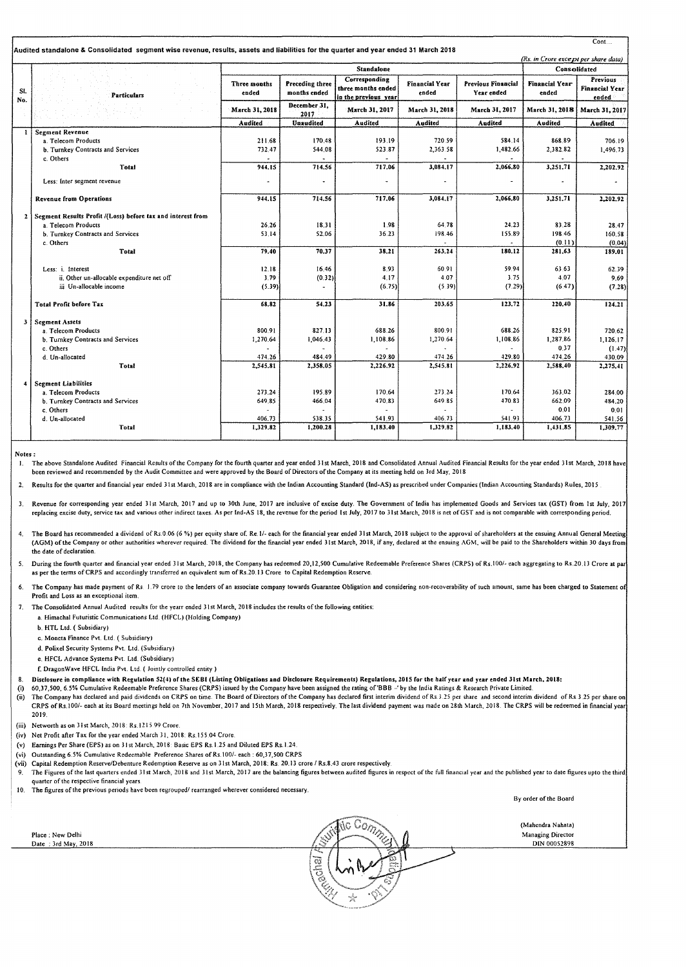| Audited standalone & Consolidated segment wise revenue, results, assets and liabilities for the quarter and year ended 31 March 2018<br>(Rs. in Crore except per share data) |                                                             |                       |                                 |                                                             |                                |                                  |                                |                                            |  |
|------------------------------------------------------------------------------------------------------------------------------------------------------------------------------|-------------------------------------------------------------|-----------------------|---------------------------------|-------------------------------------------------------------|--------------------------------|----------------------------------|--------------------------------|--------------------------------------------|--|
|                                                                                                                                                                              | <b>Standalone</b>                                           |                       |                                 |                                                             |                                |                                  | Consolidated                   |                                            |  |
| SI.<br>No.                                                                                                                                                                   | Particulars                                                 | Three months<br>ended | Preceding three<br>months ended | Corresponding<br>three months ended<br>in the previous year | <b>Financial Year</b><br>ended | Previous Financial<br>Year ended | <b>Financial Year</b><br>ended | Previous<br><b>Financial Year</b><br>ended |  |
|                                                                                                                                                                              |                                                             | March 31, 2018        | December 31,<br>2017            | March 31, 2017                                              | March 31, 2018                 | March 31, 2017                   | March 31, 2018                 | March 31, 2017                             |  |
|                                                                                                                                                                              |                                                             | Audited               | Unaudited                       | Audited                                                     | Audited                        | Audited                          | Audited                        | Audited                                    |  |
| 1                                                                                                                                                                            | <b>Segment Revenue</b>                                      |                       |                                 |                                                             |                                |                                  |                                |                                            |  |
|                                                                                                                                                                              | a. Telecom Products                                         | 211.68                | 170.48                          | 193.19                                                      | 720.59                         | 584.14                           | 868.89                         | 706.19                                     |  |
|                                                                                                                                                                              | b. Turnkey Contracts and Services                           | 732.47                | 544.08                          | 523.87                                                      | 2,363.58                       | 1,482.66                         | 2,382.82                       | 1,496.73                                   |  |
|                                                                                                                                                                              | c. Others<br>Total                                          | 944.15                | 714.56                          | 717.06                                                      | 3,084.17                       | 2.066.80                         | 3,251.71                       |                                            |  |
|                                                                                                                                                                              |                                                             |                       |                                 |                                                             |                                |                                  |                                | 2,202.92                                   |  |
|                                                                                                                                                                              | Less: Inter segment revenue                                 |                       |                                 |                                                             |                                |                                  |                                |                                            |  |
|                                                                                                                                                                              |                                                             |                       |                                 |                                                             |                                |                                  |                                |                                            |  |
|                                                                                                                                                                              | <b>Revenue from Operations</b>                              | 944.15                | 714.56                          | 717.06                                                      | 3,084,17                       | 2,066.80                         | 3,251.71                       | 2,202.92                                   |  |
| $\mathbf{z}$                                                                                                                                                                 | Segment Results Profit /(Loss) before tax and interest from |                       |                                 |                                                             |                                |                                  |                                |                                            |  |
|                                                                                                                                                                              | a. Telecom Products                                         | 26.26                 | 18.31                           | 1.98                                                        | 64.78                          | 24.23                            | 83.28                          | 28,47                                      |  |
|                                                                                                                                                                              | b. Turnkey Contracts and Services                           | 53.14                 | 52.06                           | 36.23                                                       | 198.46                         | 155.89                           | 198.46                         | 160.58                                     |  |
|                                                                                                                                                                              | c. Others                                                   |                       |                                 |                                                             |                                |                                  | (0.11)                         | (0.04)                                     |  |
|                                                                                                                                                                              | Total                                                       | 79.40                 | 70.37                           | 38.21                                                       | 263,24                         | 180.12                           | 281.63                         | 189.01                                     |  |
|                                                                                                                                                                              | Less: i. Interest                                           | 12.18                 | 16.46                           | 8.93                                                        | 60.91                          | 59.94                            | 63.63                          | 62.39                                      |  |
|                                                                                                                                                                              | ii. Other un-allocable expenditure net off                  | 3.79                  | (0.32)                          | 4.17                                                        | 4.07                           | 3.75                             | 4.07                           | 9.69                                       |  |
|                                                                                                                                                                              | iii Un-allocable income                                     | (5.39)                |                                 | (6.75)                                                      | (5.39)                         | (7.29)                           | (6.47)                         | (7.28)                                     |  |
|                                                                                                                                                                              |                                                             |                       |                                 |                                                             |                                |                                  |                                |                                            |  |
|                                                                                                                                                                              | <b>Total Profit before Tax</b>                              | 68.82                 | 54.23                           | 31.86                                                       | 203.65                         | 123.72                           | 220.40                         | 124.21                                     |  |
| 3                                                                                                                                                                            | <b>Segment Assets</b>                                       |                       |                                 |                                                             |                                |                                  |                                |                                            |  |
|                                                                                                                                                                              | a. Telecom Products                                         | 800.91                | 827.13                          | 688.26                                                      | 800.91                         | 688.26                           | 825.91                         | 720.62                                     |  |
|                                                                                                                                                                              | b. Turnkey Contracts and Services                           | 1,270.64              | 1,046.43                        | 1,108.86                                                    | 1,270.64                       | 1,108.86                         | 1,287.86                       | 1,126.17                                   |  |
|                                                                                                                                                                              | c. Others                                                   |                       |                                 |                                                             |                                |                                  | 0.37                           | (1.47)                                     |  |
|                                                                                                                                                                              | d. Un-allocated                                             | 474.26                | 484.49                          | 429.80                                                      | 474.26                         | 429.80                           | 474.26                         | 430.09                                     |  |
|                                                                                                                                                                              | Total                                                       | 2,545.81              | 2,358.05                        | 2,226.92                                                    | 2,545.81                       | 2,226.92                         | 2,588.40                       | 2,275.41                                   |  |
|                                                                                                                                                                              |                                                             |                       |                                 |                                                             |                                |                                  |                                |                                            |  |
| 4                                                                                                                                                                            | <b>Segment Liabilities</b>                                  |                       |                                 |                                                             |                                |                                  |                                |                                            |  |
|                                                                                                                                                                              | a. Telecom Products<br>b. Turnkey Contracts and Services    | 273.24                | 195.89                          | 170.64                                                      | 273.24                         | 170.64<br>470.83                 | 363.02                         | 284.00                                     |  |
|                                                                                                                                                                              | c. Others                                                   | 649.85                | 466.04                          | 470.83                                                      | 649.85                         |                                  | 662.09<br>0.01                 | 484.20                                     |  |
|                                                                                                                                                                              | d. Un-allocated                                             | 406.73                | 538.35                          | 541.93                                                      | 406.73                         | 541.93                           | 406.73                         | 0.01<br>541.56                             |  |
|                                                                                                                                                                              | Total                                                       | 1,329.82              | 1,200.28                        | 1,183.40                                                    | 1,329.82                       | 1,183.40                         | 1,431.85                       | 1,309.77                                   |  |
|                                                                                                                                                                              |                                                             |                       |                                 |                                                             |                                |                                  |                                |                                            |  |

Notes:

1. The above Standalone Audited Financial Results of the Company for the fourth quarter and year ended 31st March, 2018 and Consolidated Annual Audited Financial Results for the year ended 31st March, 2018 have been reviewed and recommended *by* the Audit Committee and were approved by the Board of Directors of the Company at its meeting held on Jrd May, 2018

2. Results for the quarter and financial year ended 31st March, 2018 are in compliance with the Indian Accounting Standard (Ind-AS) as prescribed under Companies (Indian Accounting Standards) Rules, 2015

3. Revenue for corresponding year ended 31st March, 2017 and up to 30th June, 2017 are inclusive of excise duty. The Government of India has implemented Goods and Services tax (GST) from 1st July, 2017 replacing excise duty, service tax and various other indirect taxes. As per fnd-AS 18, the revenue for the period Ist July, 2017 to Jist March, 2018 is net of GST and is not comparable with corresponding period.

- 4. The Board has recommended a dividend of Rs.0.06 (6 %) per equity share of. Re. I/- each for the financial year ended 31st March, 2018 subject to the approval of shareholders at the ensuing Annual General Meeting: (AGM) of the Company or other authorities wherever required. The dividend for the financial year ended 31st March, 2018, if any, declared at the ensuing AGM, will be paid to the Shareholders within 30 days from the date of declaration.
- 5. During the fourth quarter and financial year ended 31st March, 2018, the Company has redeemed 20,12,500 Cumulative Redeemable Preference Shares (CRPS) of Rs.100/- each aggregating to Rs.20.13 Crore at par as per the terms of CRPS and accordingly transferred an equivalent sum of Rs.20.13 Crore to Capital Redemption Reserve.
- The Company has made payment of Rs. 1.79 crore to the lenders of an associate company towards Guarantee Obligation and considering non-recoverability of such amount, same has been charged to Statement of Profit and Loss as an exceptional item

7. The Consolidated Annual Audited results for the yearr ended 31st March, 2018 includes the results of the following entities:

- a. Himachal Futuristic Communications Ltd. {HFCL} (Holding Company}
	- b. HTL Ltd. ( Subsidiary)
	- c. Moneta Finance Pvt. Ltd. (Subsidiary)
	- d. Polixel Security Systems Pvt. Ltd. (Subsidiary)
	- e. HFCL Advance Systems Pvt. Ltd. (Subsidiary)
- f. DragonWave HFCL lndia Pvt. Ltd. ( Jointly controlled entity)
- Disclosure in compliance with Regulation 52(4) of the SEBI (Listing Obligations and Disclosure Requirements) Regulations, 2015 for the half year and year ended 31st March, 2018:
- (i) 60,37,500, 6.5% Cumulative Redeemable Preference Shares (CRPS) issued by the Company have been assigned the rating of'BBB -'by the India Ratings & Research Private Limited
- (ii) The Company has declared and paid dividends on CRPS on time. The Board of Directors of the Company has declared first interim dividend of Rs 3.25 per share and second interim dividend of Rs 3.25 per share on CRPS of Rs. 100/- each at its Board meetings held on 7th November. 2017 and 15th March, 2018 respectively. The last dividend payment was made on 28th March, 2018. The CRPS will be redeemed in financial year 2019.
- (iii) Networth as on 31st March, 2018: Rs.1215.99 Crore
- (iv) Net Profit after Tax for the year ended March 31, 2018: Rs.155.04 Crore.
- (v) Earnings Per Share (EPS) as on 31st March, 2018: Basic EPS Rs.1.25 and Diluted EPS Rs.1.24.
- (vi) Outstanding 6.5% Cumulative Redeemable Preference Shares of Rs.100/- each: 60,37,500 CRPS
- (vii) Capital Redemption Reserve/Debenture Redemption Reserve as on 31st March, 2018: Rs. 20.13 crore I Rs.8.43 crore respectively
- The Figures of the last quarters ended 31st March, 2018 and 31st March, 2017 are the balancing figures between audited figures in respect of the full financial year and the published year to date figures upto the third quarter of the respective financial years
- I 10. The figures of the previous penods have been regrouped/ rearranged wherever considered necessary.

By order of the Board

 $Cont$ ...

re Comp (Mahendra Nahata) Place ; New Delhi Managing Director DIN 00052898 Date : 3rd May, 2018 .< **Techal**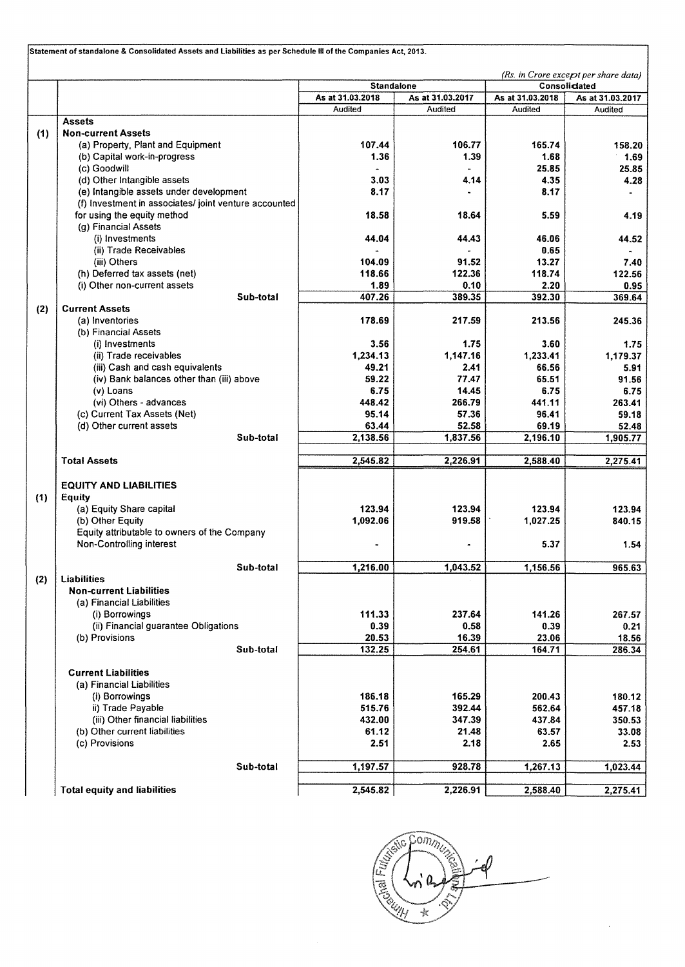|     | (Rs. in Crore except per share data)                  |                   |                  |                  |                  |  |  |
|-----|-------------------------------------------------------|-------------------|------------------|------------------|------------------|--|--|
|     |                                                       | <b>Standalone</b> |                  | Consolidated     |                  |  |  |
|     |                                                       | As at 31.03.2018  | As at 31.03.2017 | As at 31.03.2018 | As at 31.03.2017 |  |  |
|     |                                                       | Audited           | Audited          | Audited          | <b>Audited</b>   |  |  |
|     | <b>Assets</b>                                         |                   |                  |                  |                  |  |  |
| (1) | <b>Non-current Assets</b>                             |                   |                  |                  |                  |  |  |
|     | (a) Property, Plant and Equipment                     | 107.44            | 106.77           | 165.74           | 158.20           |  |  |
|     | (b) Capital work-in-progress                          | 1.36              | 1.39             | 1.68             | 1.69             |  |  |
|     | (c) Goodwill                                          |                   |                  | 25.85            | 25.85            |  |  |
|     | (d) Other Intangible assets                           | 3.03              | 4.14             | 4.35             | 4.28             |  |  |
|     | (e) Intangible assets under development               | 8.17              |                  | 8.17             |                  |  |  |
|     | (f) Investment in associates/ joint venture accounted |                   |                  |                  |                  |  |  |
|     | for using the equity method<br>(g) Financial Assets   | 18.58             | 18.64            | 5.59             | 4.19             |  |  |
|     | (i) Investments                                       | 44.04             | 44.43            |                  |                  |  |  |
|     | (ii) Trade Receivables                                |                   |                  | 46.06<br>0.65    | 44.52            |  |  |
|     | (iii) Others                                          | 104.09            | 91.52            | 13.27            | 7.40             |  |  |
|     | (h) Deferred tax assets (net)                         | 118.66            | 122.36           | 118.74           | 122.56           |  |  |
|     | (i) Other non-current assets                          | 1.89              | 0.10             | 2.20             | 0.95             |  |  |
|     | Sub-total                                             | 407.26            | 389.35           | 392.30           | 369.64           |  |  |
| (2) | <b>Current Assets</b>                                 |                   |                  |                  |                  |  |  |
|     | (a) Inventories                                       | 178.69            | 217.59           | 213.56           | 245.36           |  |  |
|     | (b) Financial Assets                                  |                   |                  |                  |                  |  |  |
|     | (i) Investments                                       | 3.56              | 1.75             | 3.60             | 1.75             |  |  |
|     | (ii) Trade receivables                                | 1,234.13          | 1,147.16         | 1.233.41         | 1,179.37         |  |  |
|     | (iii) Cash and cash equivalents                       | 49.21             | 2.41             | 66.56            | 5.91             |  |  |
|     | (iv) Bank balances other than (iii) above             | 59.22             | 77.47            | 65.51            | 91.56            |  |  |
|     | (v) Loans                                             | 6.75              | 14.45            | 6.75             | 6.75             |  |  |
|     | (vi) Others - advances                                | 448.42            | 266.79           | 441.11           | 263.41           |  |  |
|     | (c) Current Tax Assets (Net)                          | 95.14             | 57.36            | 96.41            | 59.18            |  |  |
|     | (d) Other current assets                              | 63.44             | 52.58            | 69.19            | 52.48            |  |  |
|     | Sub-total                                             | 2,138.56          | 1,837.56         | 2,196.10         | 1,905.77         |  |  |
|     | <b>Total Assets</b>                                   | 2,545.82          | 2,226.91         | 2,588.40         | 2,275.41         |  |  |
|     |                                                       |                   |                  |                  |                  |  |  |
|     | <b>EQUITY AND LIABILITIES</b>                         |                   |                  |                  |                  |  |  |
| (1) | <b>Equity</b>                                         |                   |                  |                  |                  |  |  |
|     | (a) Equity Share capital                              | 123.94            | 123.94           | 123.94           | 123.94           |  |  |
|     | (b) Other Equity                                      | 1,092.06          | 919.58           | 1,027.25         | 840.15           |  |  |
|     | Equity attributable to owners of the Company          |                   |                  | 5.37             |                  |  |  |
|     | Non-Controlling interest                              |                   |                  |                  | 1.54             |  |  |
|     | Sub-total                                             | 1,216.00          | 1,043.52         | 1,156.56         | 965.63           |  |  |
| (2) | <b>Liabilities</b>                                    |                   |                  |                  |                  |  |  |
|     | <b>Non-current Liabilities</b>                        |                   |                  |                  |                  |  |  |
|     | (a) Financial Liabilities                             |                   |                  |                  |                  |  |  |
|     | (i) Borrowings                                        | 111.33            | 237.64           | 141.26           | 267.57           |  |  |
|     | (ii) Financial guarantee Obligations                  | 0.39              | 0.58             | 0.39             | 0.21             |  |  |
|     | (b) Provisions                                        | 20.53             | 16.39            | 23.06            | 18.56            |  |  |
|     | Sub-total                                             | 132.25            | 254.61           | 164.71           | 286.34           |  |  |
|     | <b>Current Liabilities</b>                            |                   |                  |                  |                  |  |  |
|     | (a) Financial Liabilities                             |                   |                  |                  |                  |  |  |
|     | (i) Borrowings                                        | 186.18            | 165.29           | 200.43           | 180.12           |  |  |
|     | ii) Trade Payable                                     | 515.76            | 392.44           | 562.64           | 457.18           |  |  |
|     | (iii) Other financial liabilities                     | 432.00            | 347.39           | 437.84           | 350.53           |  |  |
|     | (b) Other current liabilities                         | 61.12             | 21.48            | 63.57            | 33.08            |  |  |
|     | (c) Provisions                                        | 2.51              | 2.18             | 2.65             | 2.53             |  |  |
|     |                                                       |                   |                  |                  |                  |  |  |
|     | Sub-total                                             | 1,197.57          | 928.78           | 1,267.13         | 1,023.44         |  |  |
|     | <b>Total equity and liabilities</b>                   | 2,545.82          | 2,226.91         | 2,588.40         | 2,275.41         |  |  |

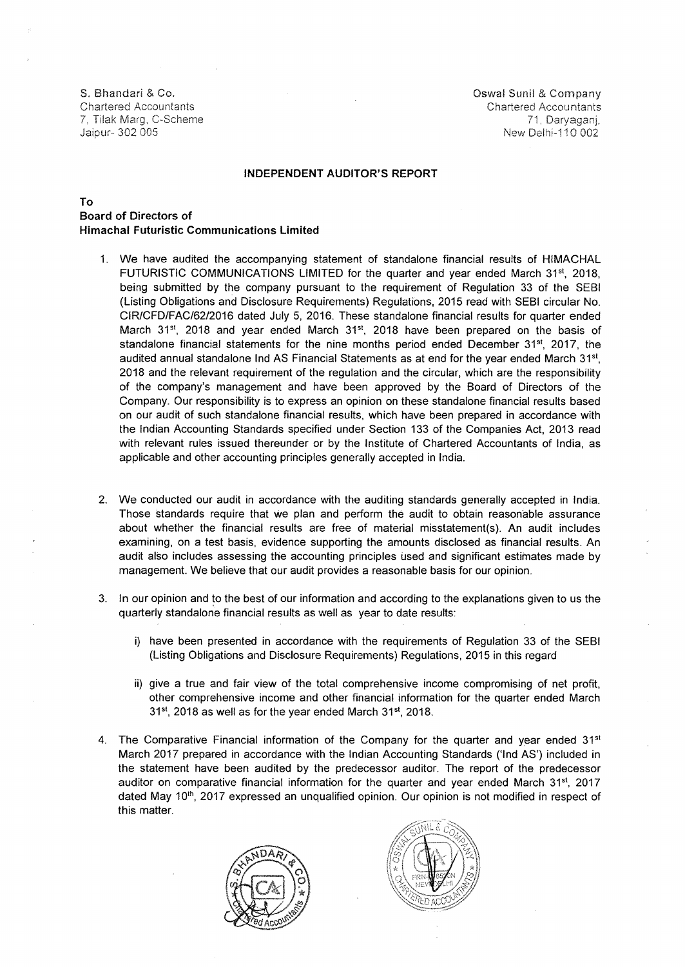Jaipur- 302 005 New Delhi-11 0 002

S. Bhandari & Co. **Oswal Sunil According to the Company** Server According to the Company Server According to the Company Chartered Accountants Chartered Accountants 7. Tilak Marg, C-Scheme 71, Daryaganj,

#### **INDEPENDENT AUDITOR'S REPORT**

### To **Board of Directors of Himachal Futuristic Communications limited**

- 1. We have audited the accompanying statement of standalone financial results of HIMACHAL FUTURISTIC COMMUNICATIONS LIMITED for the quarter and year ended March 31<sup>st</sup>, 2018, being submitted by the company pursuant to the requirement of Regulation 33 of the SEBI (Listing Obligations and Disclosure Requirements) Regulations, 2015 read with SEBI circular No. CIR/CFD/FAC/62/2016 dated July 5, 2016. These standalone financial results for quarter ended March 31<sup>st</sup>, 2018 and year ended March 31<sup>st</sup>, 2018 have been prepared on the basis of standalone financial statements for the nine months period ended December 31<sup>st</sup>, 2017, the audited annual standalone Ind AS Financial Statements as at end for the year ended March 31st, 2018 and the relevant requirement of the regulation and the circular, which are the responsibility of the company's management and have been approved by the Board of Directors of the Company. Our responsibility is to express an opinion on these standalone financial results based on our audit of such standalone financial results, which have been prepared in accordance with the Indian Accounting Standards specified under Section 133 of the Companies Act, 2013 read with relevant rules issued thereunder or by the Institute of Chartered Accountants of India, as applicable and other accounting principles generally accepted in India.
- 2. We conducted our audit in accordance with the auditing standards generally accepted in India. Those standards require that we plan and perform the audit to obtain reasonable assurance about whether the financial results are free of material misstatement(s). An audit includes examining, on a test basis, evidence supporting the amounts disclosed as financial results. An audit also includes assessing the accounting principles used and significant estimates made by management. We believe that our audit provides a reasonable basis for our opinion.
- 3. In our opinion and to the best of our information and according to the explanations given to us the quarterly standalone financial results as well as year to date results:
	- i) have been presented in accordance with the requirements of Regulation 33 of the SEBI (Listing Obligations and Disclosure Requirements) Regulations, 2015 in this regard
	- ii) give a true and fair view of the total comprehensive income compromising of net profit, other comprehensive income and other financial information for the quarter ended March 31st, 2018 as well as for the year ended March 31st, 2018.
- 4. The Comparative Financial information of the Company for the quarter and year ended  $31<sup>st</sup>$ March 2017 prepared in accordance with the Indian Accounting Standards ('lnd AS') included in the statement have been audited by the predecessor auditor. The report of the predecessor auditor on comparative financial information for the quarter and year ended March 31<sup>st</sup>, 2017 dated May 10<sup>th</sup>, 2017 expressed an unqualified opinion. Our opinion is not modified in respect of this matter.



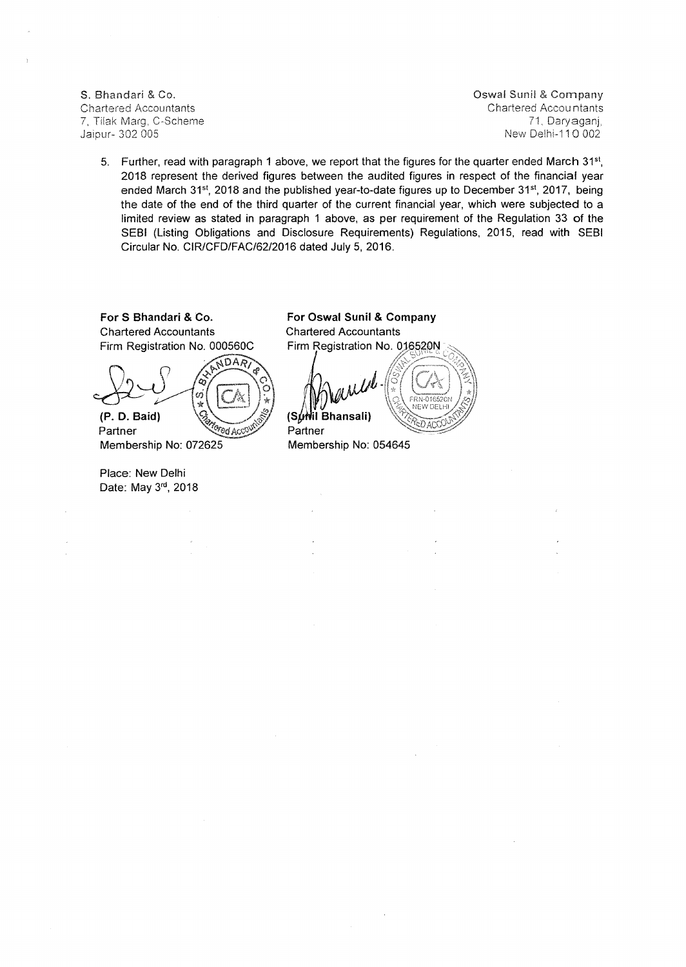7. Tilak Marg. C-Scheme<br>Jaipur- 302.005

S. Bhandari & Co. **Company** S. Bhandari & Company Chartered Accountants Chartered Accountants Chartered Accountants Chartered Accountants Chartered Accountants 7. Tilak Marg. C-Scheme New Delhi-110 002

5. Further, read with paragraph 1 above, we report that the figures for the quarter ended March 31st. 2018 represent the derived figures between the audited figures in respect of the financial year ended March 31st, 2018 and the published year-to-date figures up to December 31st, 2017, being the date of the end of the third quarter of the current financial year, which were subjected to a limited review as stated in paragraph 1 above, as per requirement of the Regulation 33 of the SEBI (Listing Obligations and Disclosure Requirements) Regulations, 2015, read with SEBI Circular No. CIR/CFD/FAC/62/2016 dated July 5, 2016.

**For S Bhandari & Co. Chartered Accountants** Firm Registration No. 000560C

NDAR ಾ ò.  $\frac{1}{\mathbf{X}}$ **(P. D. Baid)**  Partner Gred Acc<sup>o</sup>

Membership No: 072625

Place: New Delhi Date: May 3rd, 2018 **For Oswal Sunil & Company**  Chartered Accountants Firm Registration No. 016520N

NEW DELH **il Bhansali)**   $\overline{D}$  ACK Partner

Membership No: 054645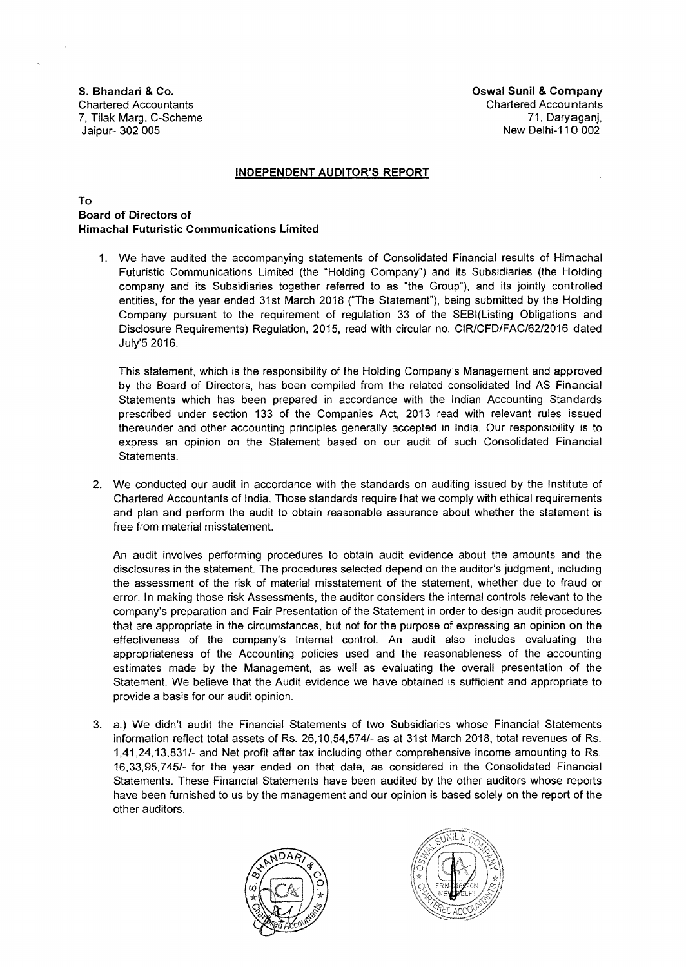S. Bhandari & Co. **Oswal Sunil & Company** Company Company Company Company Company Company Chartered Accountants Chartered Accountants 7, Tilak Marg, C-Scheme 71, Daryaganj, Jaipur- 302 005 New Delhi-11 0 002

#### INDEPENDENT AUDITOR'S REPORT

## To Board of Directors of Himachal Futuristic Communications Limited

1. We have audited the accompanying statements of Consolidated Financial results of Himachal Futuristic Communications Limited (the "Holding Company") and its Subsidiaries (the Holding company and its Subsidiaries together referred to as "the Group"), and its jointly controlled entities, for the year ended 31st March 2018 ("The Statement"), being submitted by the Holding Company pursuant to the requirement of regulation 33 of the SEBI(Listing Obligations and Disclosure Requirements) Regulation, 2015, read with circular no. CIR/CFD/FAC/62/2016 dated July'S 2016.

This statement, which is the responsibility of the Holding Company's Management and approved by the Board of Directors, has been compiled from the related consolidated lnd AS Financial Statements which has been prepared in accordance with the Indian Accounting Standards prescribed under section 133 of the Companies Act, 2013 read with relevant rules issued thereunder and other accounting principles generally accepted in India. Our responsibility is to express an opinion on the Statement based on our audit of such Consolidated Financial Statements.

2. We conducted our audit in accordance with the standards on auditing issued by the Institute of Chartered Accountants of India. Those standards require that we comply with ethical requirements and plan and perform the audit to obtain reasonable assurance about whether the statement is free from material misstatement.

An audit involves performing procedures to obtain audit evidence about the amounts and the disclosures in the statement. The procedures selected depend on the auditor's judgment, including the assessment of the risk of material misstatement of the statement, whether due to fraud or error. In making those risk Assessments, the auditor considers the internal controls relevant to the company's preparation and Fair Presentation of the Statement in order to design audit procedures that are appropriate in the circumstances, but not for the purpose of expressing an opinion on the effectiveness of the company's Internal control. An audit also includes evaluating the appropriateness of the Accounting policies used and the reasonableness of the accounting estimates made by the Management, as well as evaluating the overall presentation of the Statement. We believe that the Audit evidence we have obtained is sufficient and appropriate to provide a basis for our audit opinion.

3. a.) We didn't audit the Financial Statements of two Subsidiaries whose Financial Statements information reflect total assets of Rs. 26,10,54,574/- as at 31st March 2018, total revenues of Rs. 1,41,24,13,831/- and Net profit after tax including other comprehensive income amounting to Rs. 16,33,95,745/- for the year ended on that date, as considered in the Consolidated Financial Statements. These Financial Statements have been audited by the other auditors whose reports have been furnished to us by the management and our opinion is based solely on the report of the other auditors.



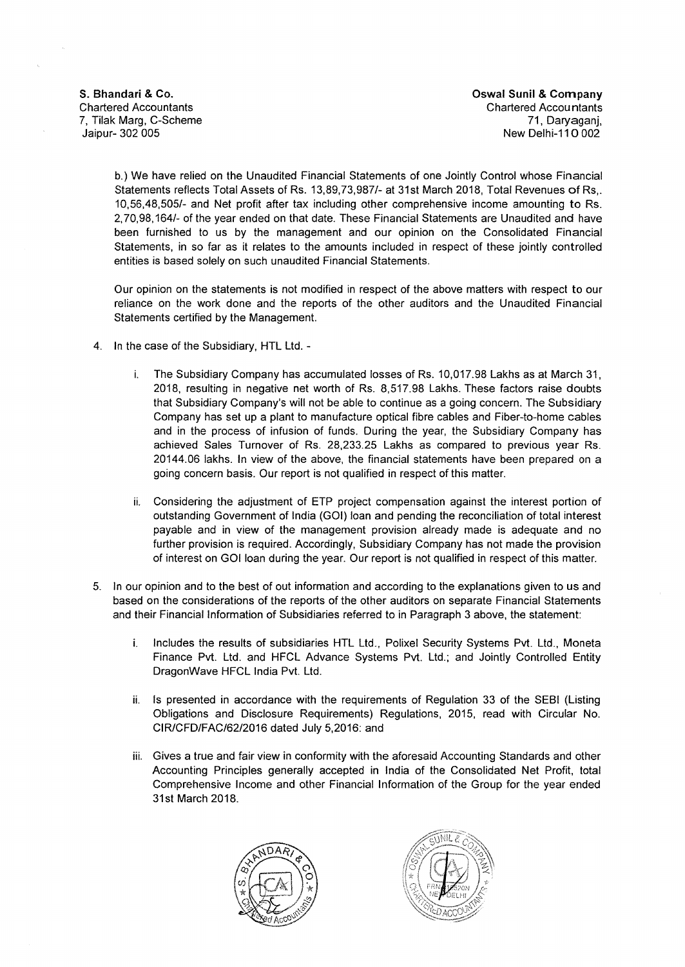**S. Bhandari & Co. Co. Co. Co. Company Chandari & Company Chandari & Company Chandari & Company Chandari & Company Chandari & Company Chandari & Company Chandari & Company Chandari & Company Chand** Chartered Accountants Chartered Accountants 7, Tilak Marg, C-Scheme 71, Daryaganj, New Delhi-110 002

b.) We have relied on the Unaudited Financial Statements of one Jointly Control whose Financial Statements reflects Total Assets of Rs. 13,89,73,987/- at 31st March 2018, Total Revenues of Rs,. 10,56,48,505/- and Net profit after tax including other comprehensive income amounting to Rs. 2, 70, 98,164/- of the year ended on that date. These Financial Statements are Unaudited and have been furnished to us by the management and our opinion on the Consolidated Financial Statements, in so far as it relates to the amounts included in respect of these jointly controlled entities is based solely on such unaudited Financial Statements.

Our opinion on the statements is not modified in respect of the above matters with respect to our reliance on the work done and the reports of the other auditors and the Unaudited Financial Statements certified by the Management.

- 4. In the case of the Subsidiary, HTL Ltd.
	- i. The Subsidiary Company has accumulated losses of Rs. 10,017.98 Lakhs as at March 31, 2018, resulting in negative net worth of Rs. 8,517.98 Lakhs. These factors raise doubts that Subsidiary Company's will not be able to continue as a going concern. The Subsidiary Company has set up a plant to manufacture optical fibre cables and Fiber-to-home cables and in the process of infusion of funds. During the year, the Subsidiary Company has achieved Sales Turnover of Rs. 28,233.25 Lakhs as compared to previous year Rs. 20144.06 lakhs. In view of the above, the financial statements have been prepared on a going concern basis. Our report is not qualified in respect of this matter.
	- ii. Considering the adjustment of ETP project compensation against the interest portion of outstanding Government of India (GOI) loan and pending the reconciliation of total interest payable and in view of the management provision already made is adequate and no further provision is required. Accordingly, Subsidiary Company has not made the provision of interest on GOI loan during the year. Our report is not qualified in respect of this matter.
- 5. In our opinion and to the best of out information and according to the explanations given to us and based on the considerations of the reports of the other auditors on separate Financial Statements and their Financial Information of Subsidiaries referred to in Paragraph 3 above, the statement:
	- i. Includes the results of subsidiaries HTL Ltd., Polixel Security Systems Pvt. Ltd., Moneta Finance Pvt. Ltd. and HFCL Advance Systems Pvt. Ltd.; and Jointly Controlled Entity DragonWave HFCL India Pvt. Ltd.
	- ii. Is presented in accordance with the requirements of Regulation 33 of the SEBI (Listing Obligations and Disclosure Requirements} Regulations, 2015, read with Circular No. CIR/CFD/FAC/62/2016 dated July 5,2016: and
	- iii. Gives a true and fair view in conformity with the aforesaid Accounting Standards and other Accounting Principles generally accepted in India of the Consolidated Net Profit, total Comprehensive Income and other Financial Information of the Group for the year ended 31st March 2018.



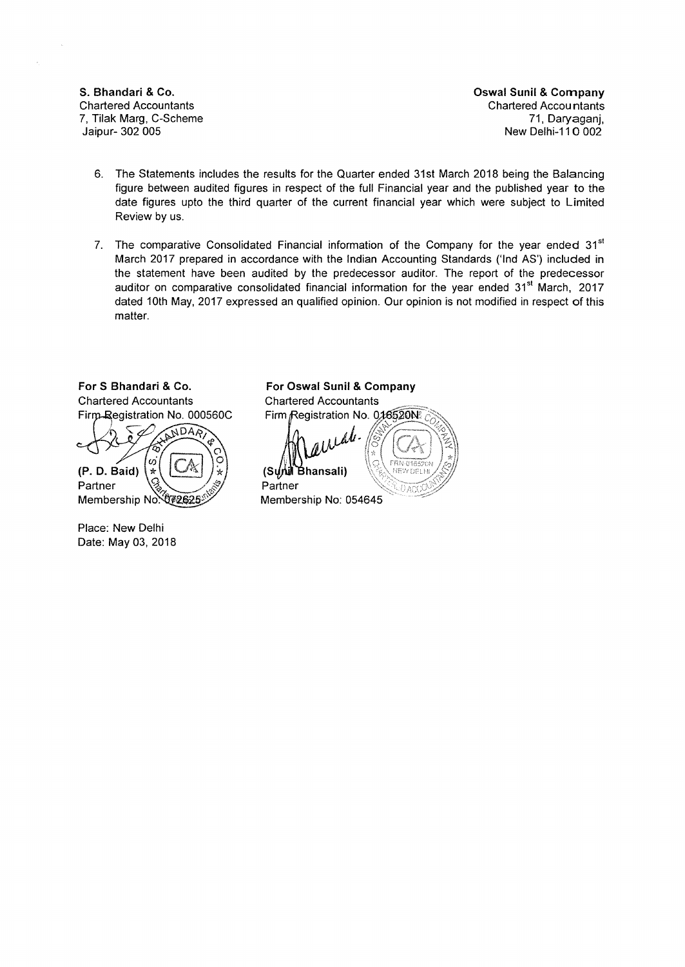**S. Bhandari &Co. Oswal Sunil &Company Chartered Accountants** 7, Tilak Marg, C-Scheme 71, Daryaganj, New Delhi-110 002

- 6. The Statements includes the results for the Quarter ended 31st March 2018 being the Balancing figure between audited figures in respect of the full Financial year and the published year to the date figures upto the third quarter of the current financial year which were subject to Limited Review by us.
- 7. The comparative Consolidated Financial information of the Company for the year ended  $31<sup>st</sup>$ March 2017 prepared in accordance with the Indian Accounting Standards ('lnd AS') included in the statement have been audited by the predecessor auditor. The report of the predecessor auditor on comparative consolidated financial information for the year ended  $31<sup>st</sup>$  March, 2017 dated 10th May, 2017 expressed an qualified opinion. Our opinion is not modified in respect of this matter.

For S Bhandari & Co. **For Oswal Sunil & Company Chartered Accountants** Firm-Registration No. 000560C

NDAR  $\sigma$  $(P. D. Baid)$  $\mathbf{A}$ Partner Membership No. 072625

Place: New Delhi Date: May 03, 2018 **Chartered Accountants** Firm Registration No. 016520N

 $_{1}$   $\mathcal{L}^{\mathcal{L}^{\prime}}$ Å∦ Bhansali) **(S**  Partner

Membership No: 054645